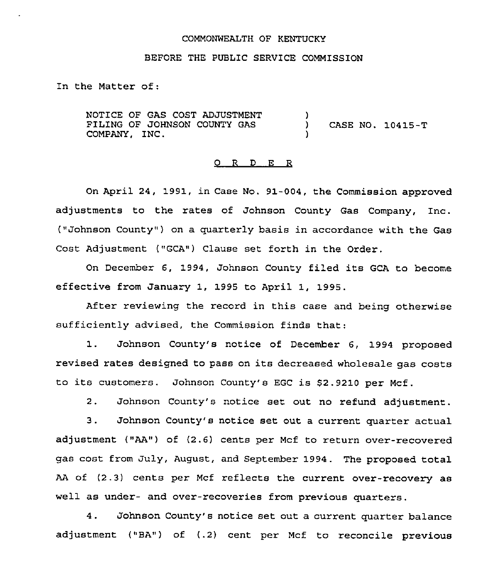### COMMONWEALTH OF KENTUCKY

# BEFORE THE PUBLIC SERVICE COMMISSION

In the Matter of:

NOTICE OF GAS COST ADJUSTMENT FILING OF JOHNSON COUNTY GAS COMPANY, INC. )<br>) ) CASE NO. 10415-T )

### 0 <sup>R</sup> <sup>D</sup> E R

On April 24, 1991, in Case No. 91-004, the Commission approved adjustments to the rates of Johnson County Gas Company, Inc. ("Johnson County" ) on a quarterly basis in accordance with the Gas Cost Adjustment ("GCA") Clause set forth in the Order.

On December 6, 1994, Johnson County filed its GCA to become effective from January 1, 1995 to April 1, 1995.

After reviewing the record in this case and being otherwise sufficiently advised, the Commission finds that.

1. Johnson County's notice of December 6, 1994 proposed revised rates designed to pass on its decreased wholesale gas costs to its customers. Johnson County's EGC is S2.9210 per Mcf.

2. Johnson County's notice set out no refund adjustment.

3. Johnson County's notice set out a current quarter actual adjustment ("AA") of (2.6) cents per Mcf to return over-recovered gas cost from July, August, and September 1994 . The proposed total AA of (2.3) cents per Mcf reflects the current over-recovery as well as under- and over-recoveries from previous quarters.

4. Johnson County's notice set out a current quarter balance adjustment ("BA") of (.2) cent per Mcf to reconcile previous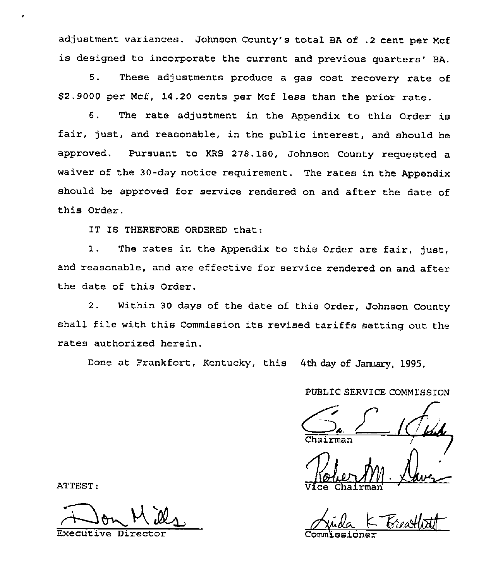adjustment variances. Johnson County's total BA of .2 cent per Mcf is designed to incorporate the current and previous quarters' BA.

5. These adjustments produce <sup>a</sup> gas cost recovery rate of \$2.9000 per Mcf, 14.20 cents per Mcf less than the prior rate.

6. The rate adjustment in the Appendix to this Order is fair, just, and reasonable, in the public interest, and should be approved. Pursuant to KRS 27B.180, Johnson County requested a waiver of the 30-day notice requirement. The rates in the Appendix should be approved for service rendered on and after the date of this Order.

IT IS THEREFORE ORDERED that:

1. The rates in the Appendix to this Order are fair, just, and reasonable, and are effective for service rendered on and after the date of this Order.

2. Within 30 days of the date of this Order, Johnson County shall file with this Commission its revised tariffs setting out the rates authorized herein.

Done at Frankfort, Kentucky, this 4th day of January, 1995.

PUBL1C SERVICE COMMISSION

<u>| ([w.</u>

Vice Chairma

 $K$  Breathat Commlssione

ATTEST:

e

Executive Director